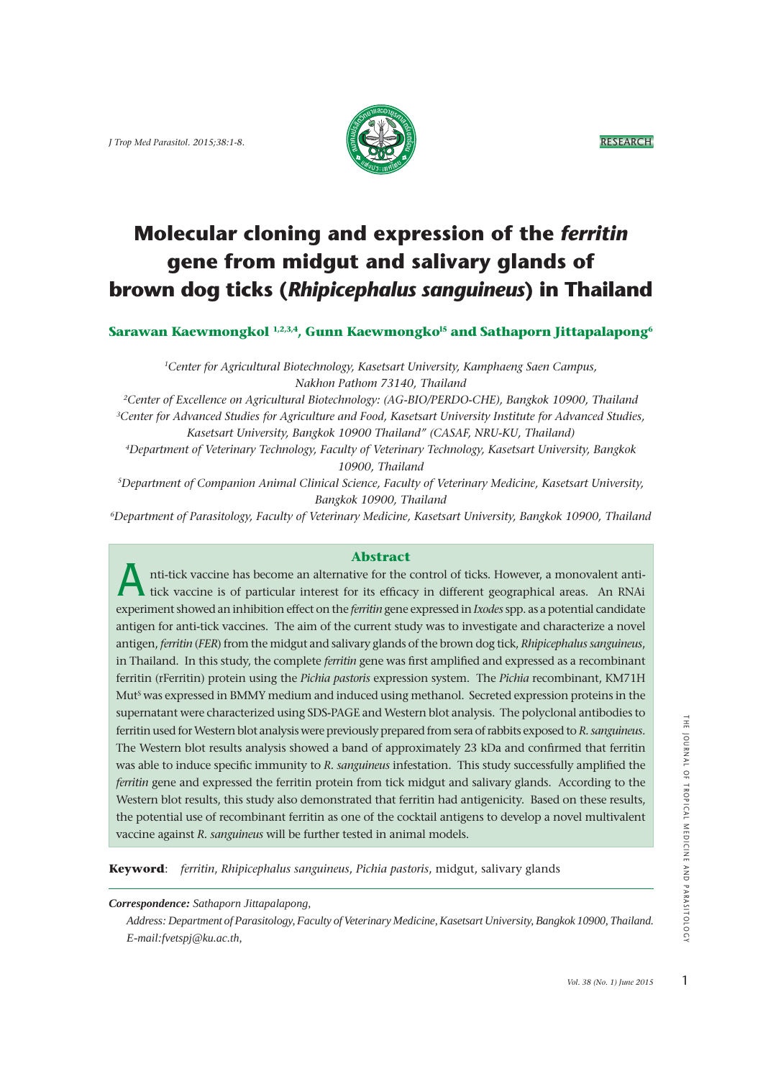

# **Molecular cloning and expression of the** *ferritin* **gene from midgut and salivary glands of brown dog ticks (***Rhipicephalus sanguineus***) in Thailand**

**Sarawan Kaewmongkol 1,2,3,4, Gunn Kaewmongkol5 and Sathaporn Jittapalapong6**

*1Center for Agricultural Biotechnology, Kasetsart University, Kamphaeng Saen Campus, Nakhon Pathom 73140, Thailand*

*2Center of Excellence on Agricultural Biotechnology: (AG-BIO/PERDO-CHE), Bangkok 10900, Thailand 3Center for Advanced Studies for Agriculture and Food, Kasetsart University Institute for Advanced Studies, Kasetsart University, Bangkok 10900 Thailand" (CASAF, NRU-KU, Thailand)*

*4Department of Veterinary Technology, Faculty of Veterinary Technology, Kasetsart University, Bangkok 10900, Thailand* 

*5Department of Companion Animal Clinical Science, Faculty of Veterinary Medicine, Kasetsart University, Bangkok 10900, Thailand*

*6Department of Parasitology, Faculty of Veterinary Medicine, Kasetsart University, Bangkok 10900, Thailand* 

### **Abstract**

A nti-tick vaccine has become an alternative for the control of ticks. However, a monovalent anti tick vaccine is of particular interest for its efficacy in different geographical areas. An RNAi experiment showed an inhibition effect on the *ferritin* gene expressed in *Ixodes* spp. as a potential candidate antigen for anti-tick vaccines. The aim of the current study was to investigate and characterize a novel antigen, *ferritin* (*FER*) from the midgut and salivary glands of the brown dog tick, *Rhipicephalus sanguineus*, in Thailand. In this study, the complete *ferritin* gene was first amplified and expressed as a recombinant ferritin (rFerritin) protein using the *Pichia pastoris* expression system. The *Pichia* recombinant, KM71H Mut<sup>s</sup> was expressed in BMMY medium and induced using methanol. Secreted expression proteins in the supernatant were characterized using SDS-PAGE and Western blot analysis. The polyclonal antibodies to ferritin used for Western blot analysis were previously prepared from sera of rabbits exposed to *R. sanguineus*. The Western blot results analysis showed a band of approximately 23 kDa and confirmed that ferritin was able to induce specific immunity to *R. sanguineus* infestation. This study successfully amplified the *ferritin* gene and expressed the ferritin protein from tick midgut and salivary glands. According to the Western blot results, this study also demonstrated that ferritin had antigenicity. Based on these results, the potential use of recombinant ferritin as one of the cocktail antigens to develop a novel multivalent vaccine against *R. sanguineus* will be further tested in animal models.

**Keyword**: *ferritin*, *Rhipicephalus sanguineus*, *Pichia pastoris*, midgut, salivary glands

*Correspondence: Sathaporn Jittapalapong,* 

 *Address: Department of Parasitology, Faculty of Veterinary Medicine, Kasetsart University, Bangkok 10900, Thailand. E-mail:fvetspj@ku.ac.th,*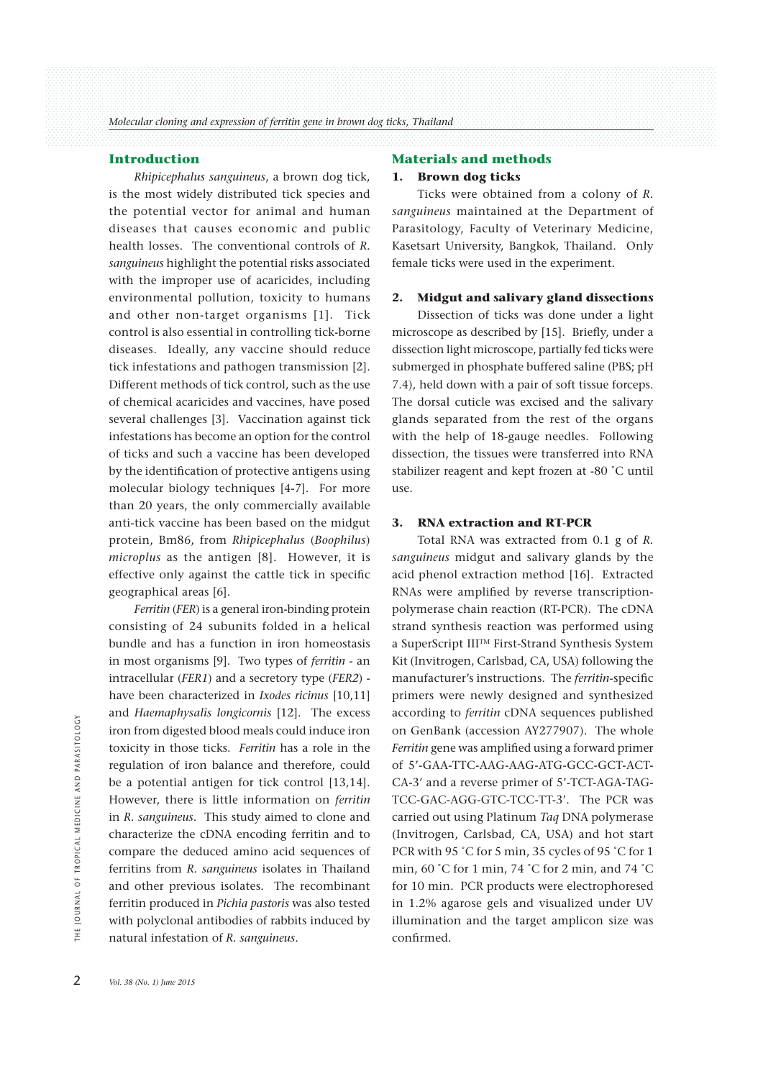### **Introduction**

 *Rhipicephalus sanguineus*, a brown dog tick, is the most widely distributed tick species and the potential vector for animal and human diseases that causes economic and public health losses. The conventional controls of *R. sanguineus* highlight the potential risks associated with the improper use of acaricides, including environmental pollution, toxicity to humans and other non-target organisms [1]. Tick control is also essential in controlling tick-borne diseases. Ideally, any vaccine should reduce tick infestations and pathogen transmission [2]. Different methods of tick control, such as the use of chemical acaricides and vaccines, have posed several challenges [3]. Vaccination against tick infestations has become an option for the control of ticks and such a vaccine has been developed by the identification of protective antigens using molecular biology techniques [4-7]. For more than 20 years, the only commercially available anti-tick vaccine has been based on the midgut protein, Bm86, from *Rhipicephalus* (*Boophilus*) *microplus* as the antigen [8]. However, it is effective only against the cattle tick in specific geographical areas [6].

 *Ferritin* (*FER*) is a general iron-binding protein consisting of 24 subunits folded in a helical bundle and has a function in iron homeostasis in most organisms [9]. Two types of *ferritin* - an intracellular (*FER1*) and a secretory type (*FER2*) have been characterized in *Ixodes ricinus* [10,11] and *Haemaphysalis longicornis* [12]. The excess iron from digested blood meals could induce iron toxicity in those ticks. *Ferritin* has a role in the regulation of iron balance and therefore, could be a potential antigen for tick control [13,14]. However, there is little information on *ferritin* in *R. sanguineus*. This study aimed to clone and characterize the cDNA encoding ferritin and to compare the deduced amino acid sequences of ferritins from *R. sanguineus* isolates in Thailand and other previous isolates. The recombinant ferritin produced in *Pichia pastoris* was also tested with polyclonal antibodies of rabbits induced by natural infestation of *R. sanguineus*. <sup>2</sup><br>
2 **Vol. 38** (No. 1) June 2015<br>
2 **Vol. 38** (No. 1) June 2015<br>
2 **Vol. 38** (No. 1) June 2015<br>
2 **Vol. 38** (No. 1) June 2015<br>
2 **Vol. 38** (No. 1) June 2015

#### **Materials and methods**

#### **1. Brown dog ticks**

 Ticks were obtained from a colony of *R. sanguineus* maintained at the Department of Parasitology, Faculty of Veterinary Medicine, Kasetsart University, Bangkok, Thailand. Only female ticks were used in the experiment.

#### **2. Midgut and salivary gland dissections**

 Dissection of ticks was done under a light microscope as described by [15]. Briefly, under a dissection light microscope, partially fed ticks were submerged in phosphate buffered saline (PBS; pH 7.4), held down with a pair of soft tissue forceps. The dorsal cuticle was excised and the salivary glands separated from the rest of the organs with the help of 18-gauge needles. Following dissection, the tissues were transferred into RNA stabilizer reagent and kept frozen at -80 ˚C until use.

#### **3. RNA extraction and RT-PCR**

 Total RNA was extracted from 0.1 g of *R. sanguineus* midgut and salivary glands by the acid phenol extraction method [16]. Extracted RNAs were amplified by reverse transcriptionpolymerase chain reaction (RT-PCR). The cDNA strand synthesis reaction was performed using a SuperScript IIITM First-Strand Synthesis System Kit (Invitrogen, Carlsbad, CA, USA) following the manufacturer's instructions. The *ferritin-*specific primers were newly designed and synthesized according to *ferritin* cDNA sequences published on GenBank (accession AY277907). The whole *Ferritin* gene was amplified using a forward primer of 5'-GAA-TTC-AAG-AAG-ATG-GCC-GCT-ACT-CA-3' and a reverse primer of 5'-TCT-AGA-TAG-TCC-GAC-AGG-GTC-TCC-TT-3'. The PCR was carried out using Platinum *Taq* DNA polymerase (Invitrogen, Carlsbad, CA, USA) and hot start PCR with 95 °C for 5 min, 35 cycles of 95 °C for 1 min, 60 ˚C for 1 min, 74 ˚C for 2 min, and 74 ˚C for 10 min. PCR products were electrophoresed in 1.2% agarose gels and visualized under UV illumination and the target amplicon size was confirmed.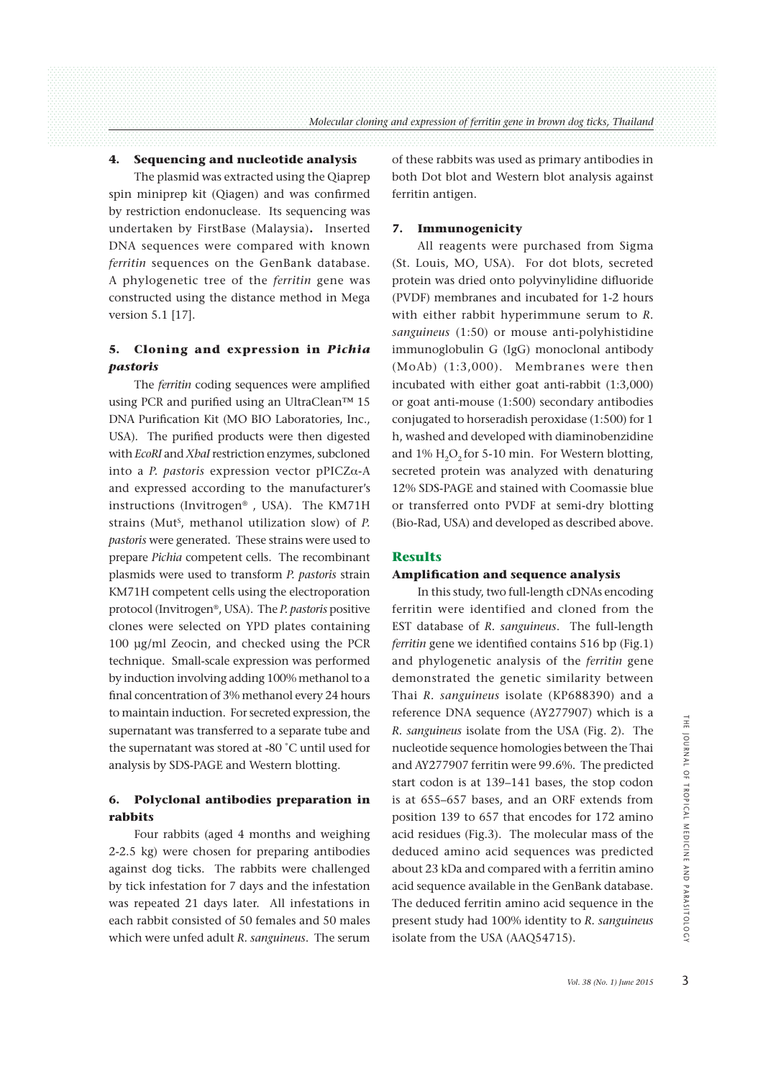### **4. Sequencing and nucleotide analysis**

 The plasmid was extracted using the Qiaprep spin miniprep kit (Qiagen) and was confirmed by restriction endonuclease. Its sequencing was undertaken by FirstBase (Malaysia)**.** Inserted DNA sequences were compared with known *ferritin* sequences on the GenBank database. A phylogenetic tree of the *ferritin* gene was constructed using the distance method in Mega version 5.1 [17].

# **5. Cloning and expression in** *Pichia pastoris*

 The *ferritin* coding sequences were amplified using PCR and purified using an UltraClean™ 15 DNA Purification Kit (MO BIO Laboratories, Inc., USA). The purified products were then digested with *EcoRI* and *XbaI* restriction enzymes, subcloned into a *P. pastoris* expression vector  $pPCZ\alpha-A$ and expressed according to the manufacturer's instructions (Invitrogen® , USA). The KM71H strains (Mut<sup>s</sup>, methanol utilization slow) of *P*. *pastoris* were generated. These strains were used to prepare *Pichia* competent cells. The recombinant plasmids were used to transform *P. pastoris* strain KM71H competent cells using the electroporation protocol (Invitrogen<sup>®</sup>, USA). The *P. pastoris* positive clones were selected on YPD plates containing 100 μg/ml Zeocin, and checked using the PCR technique. Small-scale expression was performed by induction involving adding 100% methanol to a final concentration of 3% methanol every 24 hours to maintain induction. For secreted expression, the supernatant was transferred to a separate tube and the supernatant was stored at -80 ˚C until used for analysis by SDS-PAGE and Western blotting.

## **6. Polyclonal antibodies preparation in rabbits**

 Four rabbits (aged 4 months and weighing 2-2.5 kg) were chosen for preparing antibodies against dog ticks. The rabbits were challenged by tick infestation for 7 days and the infestation was repeated 21 days later. All infestations in each rabbit consisted of 50 females and 50 males which were unfed adult *R. sanguineus*. The serum

of these rabbits was used as primary antibodies in both Dot blot and Western blot analysis against ferritin antigen.

#### **7. Immunogenicity**

 All reagents were purchased from Sigma (St. Louis, MO, USA). For dot blots, secreted protein was dried onto polyvinylidine difluoride (PVDF) membranes and incubated for 1-2 hours with either rabbit hyperimmune serum to *R. sanguineus* (1:50) or mouse anti-polyhistidine immunoglobulin G (IgG) monoclonal antibody (MoAb) (1:3,000). Membranes were then incubated with either goat anti-rabbit (1:3,000) or goat anti-mouse (1:500) secondary antibodies conjugated to horseradish peroxidase (1:500) for 1 h, washed and developed with diaminobenzidine and  $1\%$  H<sub>2</sub>O<sub>2</sub> for 5-10 min. For Western blotting, secreted protein was analyzed with denaturing 12% SDS-PAGE and stained with Coomassie blue or transferred onto PVDF at semi-dry blotting (Bio-Rad, USA) and developed as described above.

#### **Results**

#### **Amplification and sequence analysis**

 In this study, two full-length cDNAs encoding ferritin were identified and cloned from the EST database of *R. sanguineus*. The full-length *ferritin* gene we identified contains 516 bp (Fig.1) and phylogenetic analysis of the *ferritin* gene demonstrated the genetic similarity between Thai *R. sanguineus* isolate (KP688390) and a reference DNA sequence (AY277907) which is a *R. sanguineus* isolate from the USA (Fig. 2). The nucleotide sequence homologies between the Thai and AY277907 ferritin were 99.6%. The predicted start codon is at 139–141 bases, the stop codon is at 655–657 bases, and an ORF extends from position 139 to 657 that encodes for 172 amino acid residues (Fig.3). The molecular mass of the deduced amino acid sequences was predicted about 23 kDa and compared with a ferritin amino acid sequence available in the GenBank database. The deduced ferritin amino acid sequence in the present study had 100% identity to *R. sanguineus* isolate from the USA (AAQ54715). *Sol.* 7 Which Is a<br>
SA (Fig. 2). The<br>
between the Thai<br>  $\frac{1}{2}$ <br>  $\frac{1}{2}$ <br>  $\frac{1}{2}$  extends from<br>
s for 172 amino<br>
s for 172 amino<br>
alar mass of the<br>
s was predicted<br>
a ferritin amino<br>
mBank database.<br>
sequence in th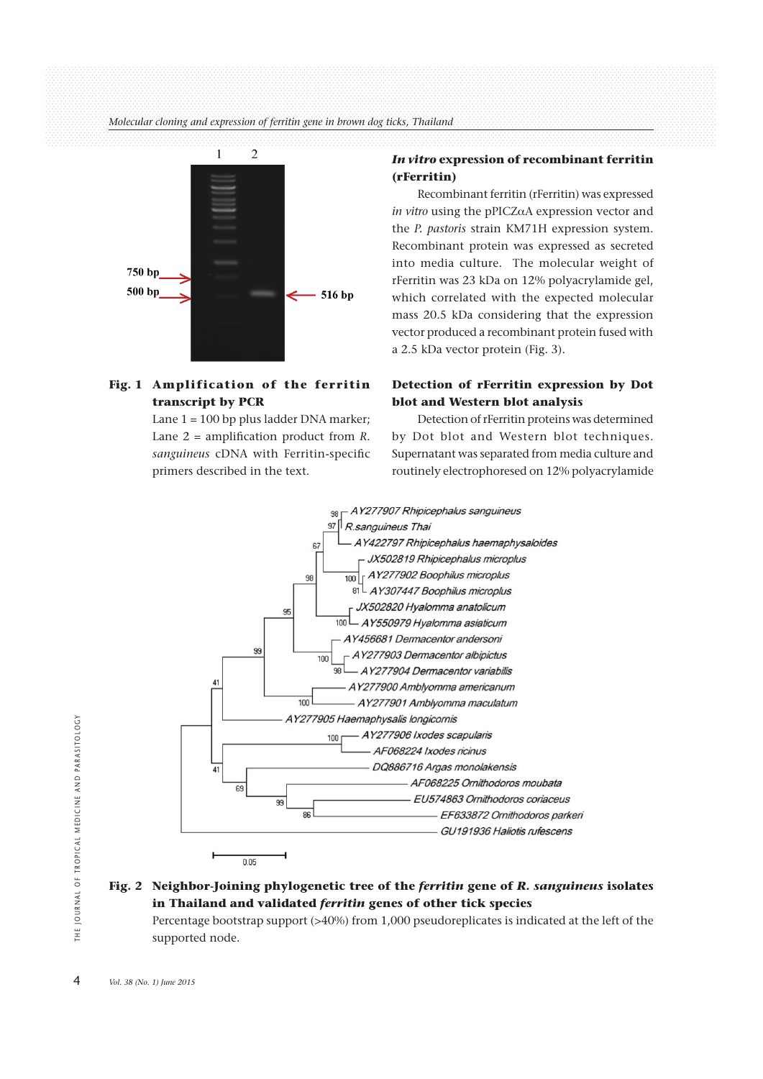*Molecular cloning and expression of ferritin gene in brown dog ticks, Thailand*



# **Fig. 1 Amplification of the ferritin transcript by PCR**

Lane  $1 = 100$  bp plus ladder DNA marker; Lane 2 = amplification product from *R. sanguineus* cDNA with Ferritin-specific primers described in the text.

### *In vitro* **expression of recombinant ferritin (rFerritin)**

 Recombinant ferritin (rFerritin) was expressed *in vitro* using the pPICZαA expression vector and the *P. pastoris* strain KM71H expression system. Recombinant protein was expressed as secreted into media culture. The molecular weight of rFerritin was 23 kDa on 12% polyacrylamide gel, which correlated with the expected molecular mass 20.5 kDa considering that the expression vector produced a recombinant protein fused with a 2.5 kDa vector protein (Fig. 3).

# **Detection of rFerritin expression by Dot blot and Western blot analysis**

 Detection of rFerritin proteins was determined by Dot blot and Western blot techniques. Supernatant was separated from media culture and routinely electrophoresed on 12% polyacrylamide



# **Fig. 2 Neighbor-Joining phylogenetic tree of the** *ferritin* **gene of** *R. sanguineus* **isolates in Thailand and validated** *ferritin* **genes of other tick species**

 Percentage bootstrap support (>40%) from 1,000 pseudoreplicates is indicated at the left of the supported node.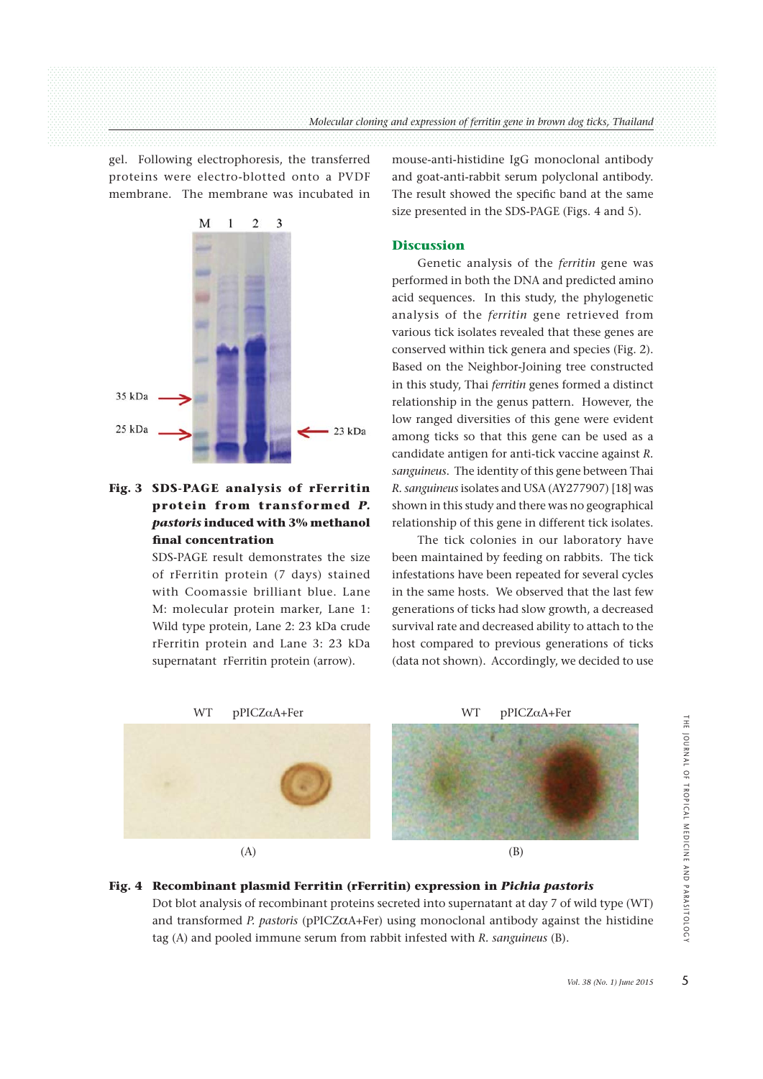gel. Following electrophoresis, the transferred proteins were electro-blotted onto a PVDF membrane. The membrane was incubated in



# **Fig. 3 SDS-PAGE analysis of rFerritin protein from transformed** *P. pastoris* **induced with 3% methanol final concentration**

 SDS-PAGE result demonstrates the size of rFerritin protein (7 days) stained with Coomassie brilliant blue. Lane M: molecular protein marker, Lane 1: Wild type protein, Lane 2: 23 kDa crude rFerritin protein and Lane 3: 23 kDa supernatant rFerritin protein (arrow).

mouse-anti-histidine IgG monoclonal antibody and goat-anti-rabbit serum polyclonal antibody. The result showed the specific band at the same size presented in the SDS-PAGE (Figs. 4 and 5).

### **Discussion**

 Genetic analysis of the *ferritin* gene was performed in both the DNA and predicted amino acid sequences. In this study, the phylogenetic analysis of the *ferritin* gene retrieved from various tick isolates revealed that these genes are conserved within tick genera and species (Fig. 2). Based on the Neighbor-Joining tree constructed in this study, Thai *ferritin* genes formed a distinct relationship in the genus pattern. However, the low ranged diversities of this gene were evident among ticks so that this gene can be used as a candidate antigen for anti-tick vaccine against *R. sanguineus*. The identity of this gene between Thai *R. sanguineus* isolates and USA (AY277907) [18] was shown in this study and there was no geographical relationship of this gene in different tick isolates.

 The tick colonies in our laboratory have been maintained by feeding on rabbits. The tick infestations have been repeated for several cycles in the same hosts. We observed that the last few generations of ticks had slow growth, a decreased survival rate and decreased ability to attach to the host compared to previous generations of ticks (data not shown). Accordingly, we decided to use



### **Fig. 4 Recombinant plasmid Ferritin (rFerritin) expression in** *Pichia pastoris*

 Dot blot analysis of recombinant proteins secreted into supernatant at day 7 of wild type (WT) and transformed *P. pastoris* (pPICZ $\alpha$ A+Fer) using monoclonal antibody against the histidine tag (A) and pooled immune serum from rabbit infested with *R. sanguineus* (B).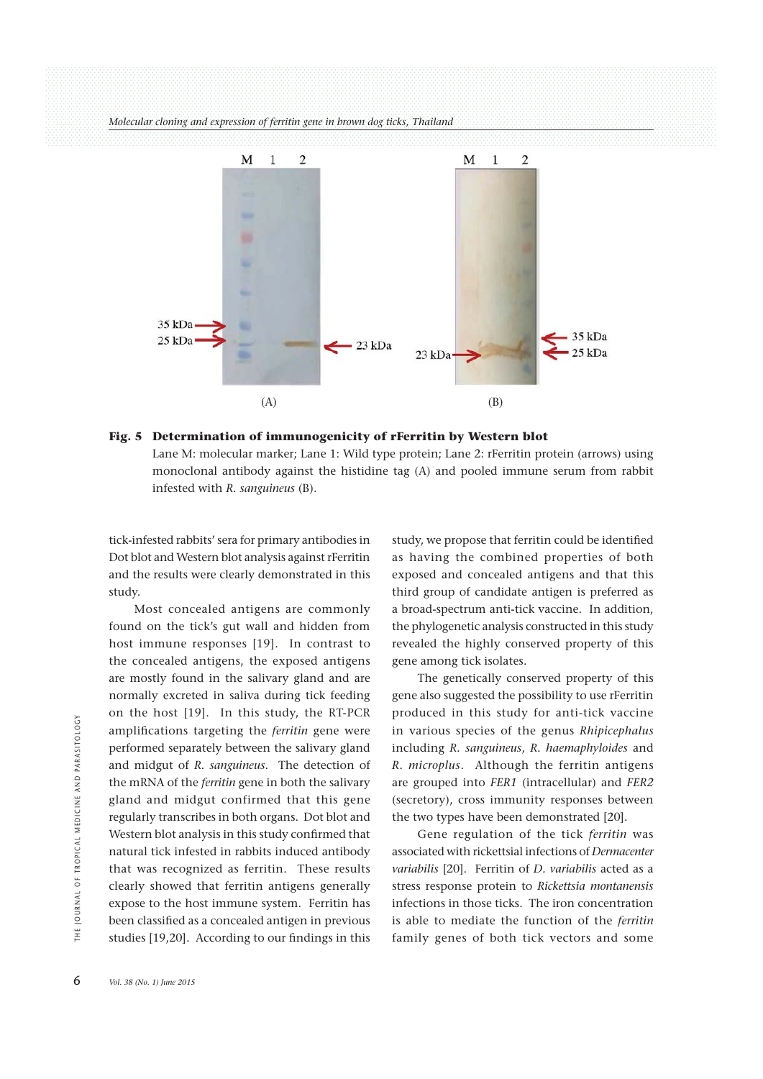

#### **Fig. 5 Determination of immunogenicity of rFerritin by Western blot**

 Lane M: molecular marker; Lane 1: Wild type protein; Lane 2: rFerritin protein (arrows) using monoclonal antibody against the histidine tag (A) and pooled immune serum from rabbit infested with *R. sanguineus* (B).

tick-infested rabbits' sera for primary antibodies in Dot blot and Western blot analysis against rFerritin and the results were clearly demonstrated in this study.

 Most concealed antigens are commonly found on the tick's gut wall and hidden from host immune responses [19]. In contrast to the concealed antigens, the exposed antigens are mostly found in the salivary gland and are normally excreted in saliva during tick feeding on the host [19]. In this study, the RT-PCR amplifications targeting the *ferritin* gene were performed separately between the salivary gland and midgut of *R. sanguineus*. The detection of the mRNA of the *ferritin* gene in both the salivary gland and midgut confirmed that this gene regularly transcribes in both organs. Dot blot and Western blot analysis in this study confirmed that natural tick infested in rabbits induced antibody that was recognized as ferritin. These results clearly showed that ferritin antigens generally expose to the host immune system. Ferritin has been classified as a concealed antigen in previous studies [19,20]. According to our findings in this 6 **Vol. 38** (No. 1) June 2015<br>
Solding and midgut of the mRNA of the gland and midgut of the gland and mid<br>
regularly transcriptions in that was recogned that was recogned<br>  $\frac{1}{2}$   $\frac{1}{2}$   $\frac{1}{2}$   $\frac{1}{2}$   $\frac{1}{2}$ 

study, we propose that ferritin could be identified as having the combined properties of both exposed and concealed antigens and that this third group of candidate antigen is preferred as a broad-spectrum anti-tick vaccine. In addition, the phylogenetic analysis constructed in this study revealed the highly conserved property of this gene among tick isolates.

 The genetically conserved property of this gene also suggested the possibility to use rFerritin produced in this study for anti-tick vaccine in various species of the genus *Rhipicephalus* including *R. sanguineus*, *R. haemaphyloides* and *R. microplus*. Although the ferritin antigens are grouped into *FER1* (intracellular) and *FER2* (secretory), cross immunity responses between the two types have been demonstrated [20].

 Gene regulation of the tick *ferritin* was associated with rickettsial infections of *Dermacenter variabilis* [20]. Ferritin of *D. variabilis* acted as a stress response protein to *Rickettsia montanensis* infections in those ticks. The iron concentration is able to mediate the function of the *ferritin* family genes of both tick vectors and some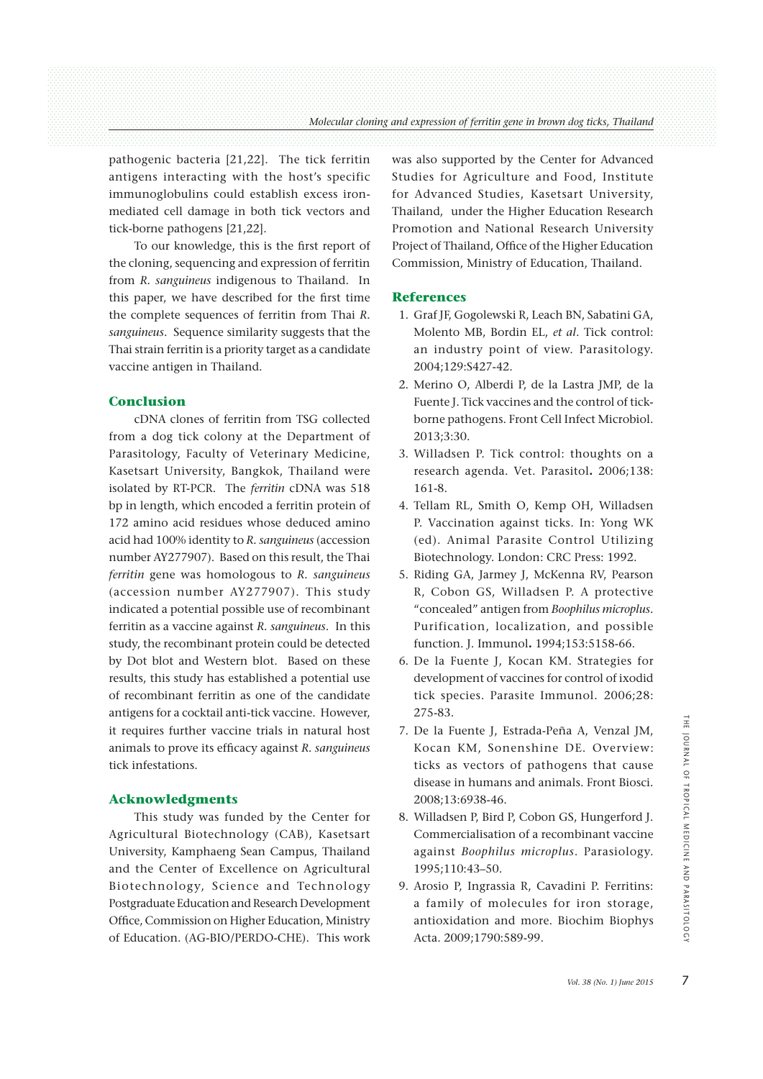pathogenic bacteria [21,22]. The tick ferritin antigens interacting with the host's specific immunoglobulins could establish excess ironmediated cell damage in both tick vectors and tick-borne pathogens [21,22].

 To our knowledge, this is the first report of the cloning, sequencing and expression of ferritin from *R. sanguineus* indigenous to Thailand. In this paper, we have described for the first time the complete sequences of ferritin from Thai *R. sanguineus*. Sequence similarity suggests that the Thai strain ferritin is a priority target as a candidate vaccine antigen in Thailand.

### **Conclusion**

 cDNA clones of ferritin from TSG collected from a dog tick colony at the Department of Parasitology, Faculty of Veterinary Medicine, Kasetsart University, Bangkok, Thailand were isolated by RT-PCR. The *ferritin* cDNA was 518 bp in length, which encoded a ferritin protein of 172 amino acid residues whose deduced amino acid had 100% identity to *R. sanguineus* (accession number AY277907). Based on this result, the Thai *ferritin* gene was homologous to *R. sanguineus* (accession number AY277907). This study indicated a potential possible use of recombinant ferritin as a vaccine against *R. sanguineus*. In this study, the recombinant protein could be detected by Dot blot and Western blot. Based on these results, this study has established a potential use of recombinant ferritin as one of the candidate antigens for a cocktail anti-tick vaccine. However, it requires further vaccine trials in natural host animals to prove its efficacy against *R. sanguineus* tick infestations.

### **Acknowledgments**

 This study was funded by the Center for Agricultural Biotechnology (CAB), Kasetsart University, Kamphaeng Sean Campus, Thailand and the Center of Excellence on Agricultural Biotechnology, Science and Technology Postgraduate Education and Research Development Office, Commission on Higher Education, Ministry of Education. (AG-BIO/PERDO-CHE). This work was also supported by the Center for Advanced Studies for Agriculture and Food, Institute for Advanced Studies, Kasetsart University, Thailand, under the Higher Education Research Promotion and National Research University Project of Thailand, Office of the Higher Education Commission, Ministry of Education, Thailand.

#### **References**

- 1. Graf JF, Gogolewski R, Leach BN, Sabatini GA, Molento MB, Bordin EL, *et al*. Tick control: an industry point of view. Parasitology. 2004;129:S427-42.
- 2. Merino O, Alberdi P, de la Lastra JMP, de la Fuente J. Tick vaccines and the control of tickborne pathogens. Front Cell Infect Microbiol. 2013;3:30.
- 3. Willadsen P. Tick control: thoughts on a research agenda. Vet. Parasitol**.** 2006;138: 161-8.
- 4. Tellam RL, Smith O, Kemp OH, Willadsen P. Vaccination against ticks. In: Yong WK (ed). Animal Parasite Control Utilizing Biotechnology. London: CRC Press: 1992.
- 5. Riding GA, Jarmey J, McKenna RV, Pearson R, Cobon GS, Willadsen P. A protective "concealed" antigen from *Boophilus microplus.* Purification, localization, and possible function. J. Immunol**.** 1994;153:5158-66.
- 6. De la Fuente J, Kocan KM. Strategies for development of vaccines for control of ixodid tick species. Parasite Immunol*.* 2006;28: 275-83.
- 7. De la Fuente J, Estrada-Peña A, Venzal JM, Kocan KM, Sonenshine DE. Overview: ticks as vectors of pathogens that cause disease in humans and animals. Front Biosci*.* 2008;13:6938-46. *Polision Collary Collary Collary Collary Collary Collary Collary Collary Collary Collary Collary Collary Collary Collary Collary Collary Collary Collary Collary Collary Collary Collary Collary Collary Collary Collary Col*
- 8. Willadsen P, Bird P, Cobon GS, Hungerford J. Commercialisation of a recombinant vaccine against *Boophilus microplus*. Parasiology. 1995;110:43–50.
- 9. Arosio P, Ingrassia R, Cavadini P. Ferritins: a family of molecules for iron storage, antioxidation and more. Biochim Biophys Acta. 2009;1790:589-99.